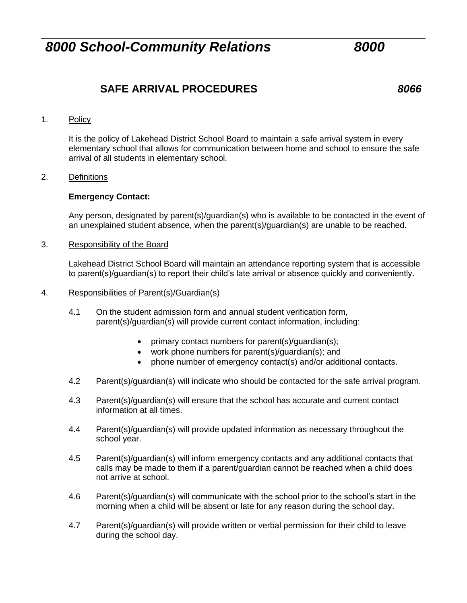# **SAFE ARRIVAL PROCEDURES** *8066*

### 1. Policy

It is the policy of Lakehead District School Board to maintain a safe arrival system in every elementary school that allows for communication between home and school to ensure the safe arrival of all students in elementary school.

#### 2. Definitions

### **Emergency Contact:**

Any person, designated by parent(s)/guardian(s) who is available to be contacted in the event of an unexplained student absence, when the parent(s)/guardian(s) are unable to be reached.

#### 3. Responsibility of the Board

Lakehead District School Board will maintain an attendance reporting system that is accessible to parent(s)/guardian(s) to report their child's late arrival or absence quickly and conveniently.

- 4. Responsibilities of Parent(s)/Guardian(s)
	- 4.1 On the student admission form and annual student verification form, parent(s)/guardian(s) will provide current contact information, including:
		- primary contact numbers for parent(s)/guardian(s);
		- work phone numbers for parent(s)/guardian(s); and
		- phone number of emergency contact(s) and/or additional contacts.
	- 4.2 Parent(s)/guardian(s) will indicate who should be contacted for the safe arrival program.
	- 4.3 Parent(s)/guardian(s) will ensure that the school has accurate and current contact information at all times.
	- 4.4 Parent(s)/guardian(s) will provide updated information as necessary throughout the school year.
	- 4.5 Parent(s)/guardian(s) will inform emergency contacts and any additional contacts that calls may be made to them if a parent/guardian cannot be reached when a child does not arrive at school.
	- 4.6 Parent(s)/guardian(s) will communicate with the school prior to the school's start in the morning when a child will be absent or late for any reason during the school day.
	- 4.7 Parent(s)/guardian(s) will provide written or verbal permission for their child to leave during the school day.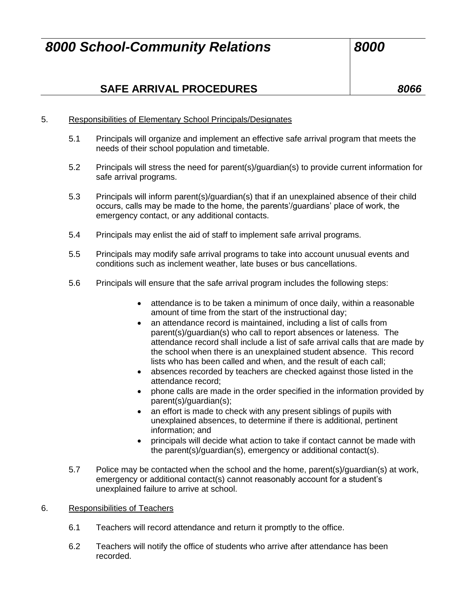# **SAFE ARRIVAL PROCEDURES** *8066*

## 5. Responsibilities of Elementary School Principals/Designates

- 5.1 Principals will organize and implement an effective safe arrival program that meets the needs of their school population and timetable.
- 5.2 Principals will stress the need for parent(s)/guardian(s) to provide current information for safe arrival programs.
- 5.3 Principals will inform parent(s)/guardian(s) that if an unexplained absence of their child occurs, calls may be made to the home, the parents'/guardians' place of work, the emergency contact, or any additional contacts.
- 5.4 Principals may enlist the aid of staff to implement safe arrival programs.
- 5.5 Principals may modify safe arrival programs to take into account unusual events and conditions such as inclement weather, late buses or bus cancellations.
- 5.6 Principals will ensure that the safe arrival program includes the following steps:
	- attendance is to be taken a minimum of once daily, within a reasonable amount of time from the start of the instructional day;
	- an attendance record is maintained, including a list of calls from parent(s)/guardian(s) who call to report absences or lateness. The attendance record shall include a list of safe arrival calls that are made by the school when there is an unexplained student absence. This record lists who has been called and when, and the result of each call;
	- absences recorded by teachers are checked against those listed in the attendance record;
	- phone calls are made in the order specified in the information provided by parent(s)/guardian(s);
	- an effort is made to check with any present siblings of pupils with unexplained absences, to determine if there is additional, pertinent information; and
	- principals will decide what action to take if contact cannot be made with the parent(s)/guardian(s), emergency or additional contact(s).
- 5.7 Police may be contacted when the school and the home, parent(s)/guardian(s) at work, emergency or additional contact(s) cannot reasonably account for a student's unexplained failure to arrive at school.

### 6. Responsibilities of Teachers

- 6.1 Teachers will record attendance and return it promptly to the office.
- 6.2 Teachers will notify the office of students who arrive after attendance has been recorded.